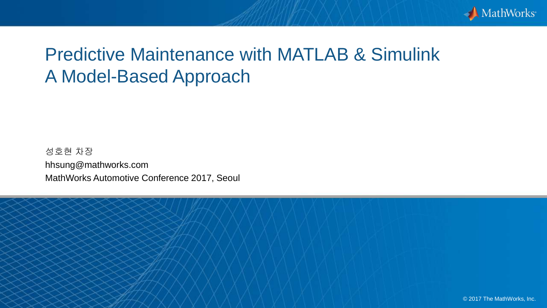

# Predictive Maintenance with MATLAB & Simulink A Model-Based Approach

성호현 차장 hhsung@mathworks.com MathWorks Automotive Conference 2017, Seoul

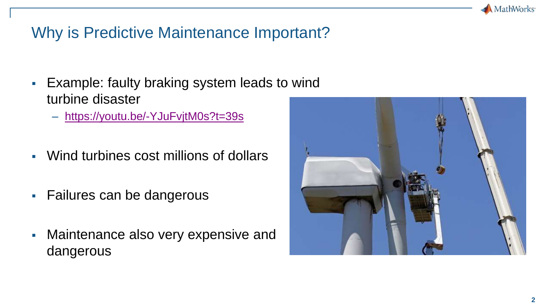

# Why is Predictive Maintenance Important?

- **Example: faulty braking system leads to wind** turbine disaster
	- <https://youtu.be/-YJuFvjtM0s?t=39s>
- Wind turbines cost millions of dollars
- Failures can be dangerous
- **Maintenance also very expensive and** dangerous

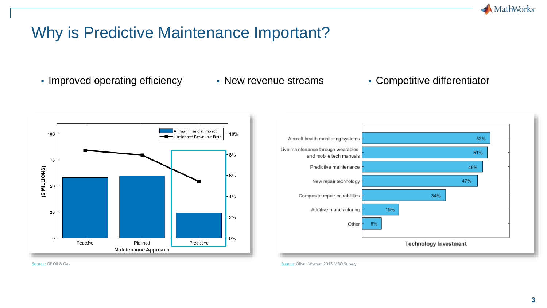

# Why is Predictive Maintenance Important?

• Improved operating efficiency • New revenue streams • Competitive differentiator





Source: GE Oil & Gas Source: Oliver Wyman 2015 MRO Survey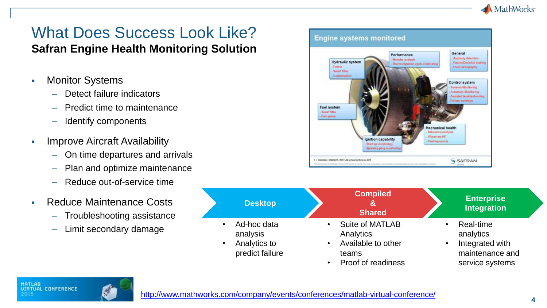

# What Does Success Look Like?

#### **Safran Engine Health Monitoring Solution**

- **Monitor Systems** 
	- Detect failure indicators
	- Predict time to maintenance
	- Identify components
- **E** Improve Aircraft Availability
	- On time departures and arrivals
	- Plan and optimize maintenance
	- Reduce out-of-service time
- Reduce Maintenance Costs
	- Troubleshooting assistance
	- Limit secondary damage

| <b>Hydraulic system</b><br>- Debris<br>- Smort filter | Performance<br><b>Modular</b> analysis<br>- Thoroughnanic cycle months ing. | General<br>Attempty desertion<br><b>Fuelos/Decision making</b><br>Flash cartography.     |
|-------------------------------------------------------|-----------------------------------------------------------------------------|------------------------------------------------------------------------------------------|
| - Сенципрово                                          |                                                                             | Control system<br>Sensors Monitoring<br>Actuators Mobilesing<br>Arcisted trialdeshouting |
| Fuel system<br>- Sound filter<br>- Funt pienp-        |                                                                             | <b>Fellow wandings</b>                                                                   |
|                                                       | Ignition capability                                                         | Mechanical health<br>- Indialance analysis<br>/ Vibrations HE                            |



• Proof of readiness

service systems

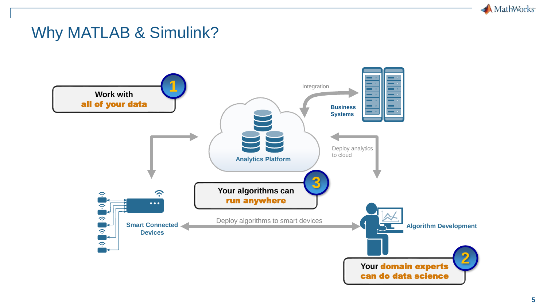

#### Why MATLAB & Simulink?

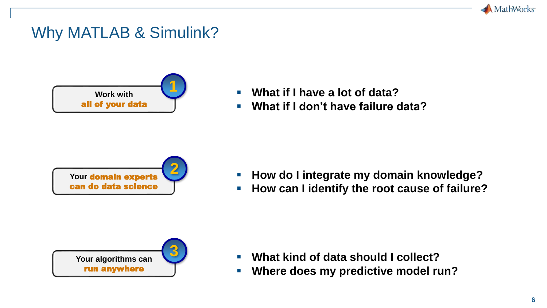

## Why MATLAB & Simulink?



- **What if I have a lot of data?**
- **What if I don't have failure data?**



- **How do I integrate my domain knowledge?**
- **How can I identify the root cause of failure?**



- What kind of data should I collect?
- **Where does my predictive model run?**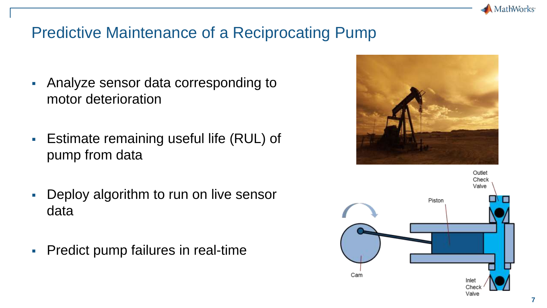

# Predictive Maintenance of a Reciprocating Pump

- Analyze sensor data corresponding to motor deterioration
- **Estimate remaining useful life (RUL) of** pump from data
- Deploy algorithm to run on live sensor data
- **Predict pump failures in real-time**



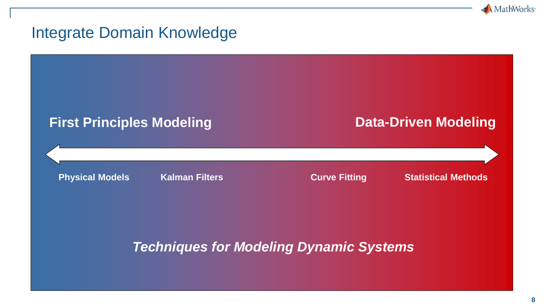

#### Integrate Domain Knowledge

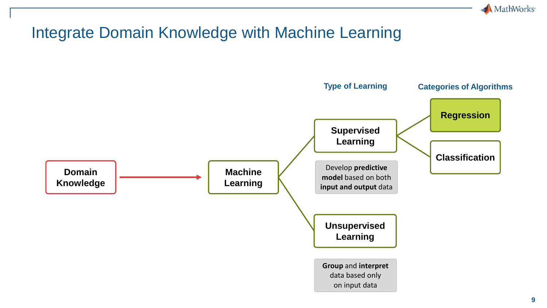

# Integrate Domain Knowledge with Machine Learning

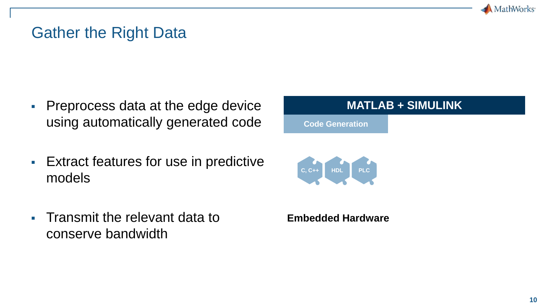

### Gather the Right Data

- **Preprocess data at the edge device** using automatically generated code
- **Extract features for use in predictive** models
- **Transmit the relevant data to** conserve bandwidth

#### **MATLAB + SIMULINK**

**Code Generation**



#### **Embedded Hardware**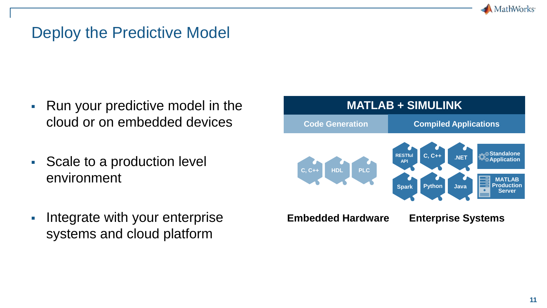

### Deploy the Predictive Model

- Run your predictive model in the cloud or on embedded devices
- Scale to a production level environment
- **EXED Integrate with your enterprise** systems and cloud platform

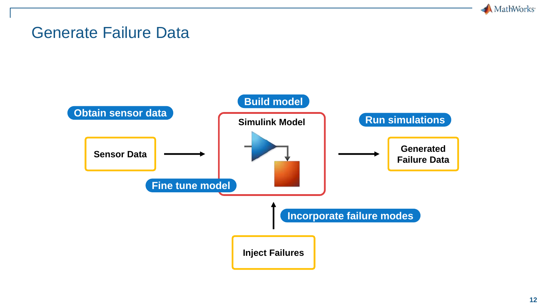

#### Generate Failure Data